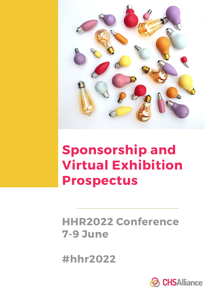

# **Sponsorship and Virtual Exhibition Prospectus**

## **HHR2022 Conference 7-9 June**

**#hhr2022**

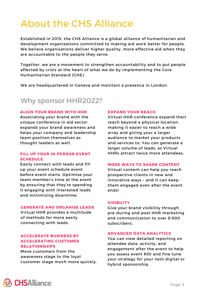## About the CHS Alliance

Established in 2015, the CHS Alliance is a global alliance of humanitarian and development organisations committed to making aid work better for people. We believe organisations deliver higher quality, more effective aid when they are accountable to the people they serve.

Together, we are a movement to strengthen accountability and to put people affected by crisis at the heart of what we do by [implementing](https://corehumanitarianstandard.org/) the Core Humanitarian Standard (CHS).

We are headquartered in Geneva and maintain a presence in London.

### Why sponsor HHR2022?

### **ALIGN YOUR BRAND WITH HHR**

Associating your brand with the unique conference in aid sector expands your brand awareness and helps your company and leadership team position themselves as thought leaders as well.

### **FILL UP YOUR IN-PERSON EVENT SCHEDULE**

Easily connect with leads and fill up your event schedule event before event starts. Optimise your team member's time at the event by ensuring that they're spending it engaging with interested leads and minimizing downtime.

### **GENERATE AND ORGANISE LEADS**

Virtual HHR provides a multitude of methods for more easily connecting with leads.

### **ACCELERATE BUSINESS BY ACCELERATING CUSTOMER RELATIONSHIPS**

Move customers from the awareness stage to the loyal customer stage much more quickly.

### **EXPAND YOUR REACH**

Virtual HHR conference expand their reach beyond a physical location, making it easier to reach a wide array and giving your a larger audience to market your products and services to. You can generate a larger volume of leads, as Virtual HHRs attract twice more attendees,

### **MORE WAYS TO SHARE CONTENT**

Virtual content can help you reach prospective clients in new and innovative ways – and it can keep them engaged even after the event ends!

### **VISIBILITY**

Give your brand visibility through pre-during and post HHR marketing and communication to over 6'000 subscribers.

### **ADVANCED DATA ANALYTICS**

You can view detailed reporting on attendee data, activity, and engagement after the event to help you assess event ROI and fine tune your strategy for your next digital or hybrid sponsorship.

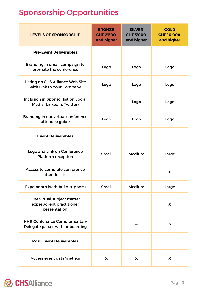### Sponsorship Opportunities

| <b>LEVELS OF SPONSORSHIP</b>                                             | <b>BRONZE</b><br><b>CHF 2'500</b><br>and higher | <b>SILVER</b><br><b>CHF5'000</b><br>and higher | <b>GOLD</b><br><b>CHF10'000</b><br>and higher |
|--------------------------------------------------------------------------|-------------------------------------------------|------------------------------------------------|-----------------------------------------------|
| <b>Pre-Event Deliverables</b>                                            |                                                 |                                                |                                               |
| Branding in email campaign to<br>promote the conference                  | Logo                                            | Logo                                           | Logo                                          |
| <b>Listing on CHS Alliance Web Site</b><br>with Link to Your Company     | Logo                                            | Logo                                           | Logo                                          |
| Inclusion in Sponsor list on Social<br>Media (LinkedIn, Twitter)         |                                                 | Logo                                           | Logo                                          |
| Branding in our virtual conference<br>attendee guide                     | Logo                                            | Logo                                           | Logo                                          |
| <b>Event Deliverables</b>                                                |                                                 |                                                |                                               |
| Logo and Link on Conference<br><b>Platform reception</b>                 | Small                                           | Medium                                         | Large                                         |
| Access to complete conference<br>attendee list                           |                                                 |                                                | X                                             |
| Expo booth (with build support)                                          | Small                                           | Medium                                         | Large                                         |
| One virtual subject matter<br>expert/client practitioner<br>presentation |                                                 |                                                | X                                             |
| <b>HHR Conference Complementary</b><br>Delegate passes with onboarding   | $\overline{2}$                                  | 4                                              | 6                                             |
| <b>Post-Event Deliverables</b>                                           |                                                 |                                                |                                               |
| Access event data/metrics                                                | X                                               | X                                              | X                                             |

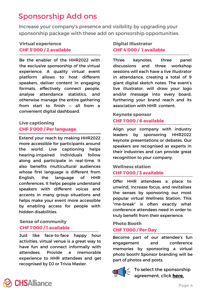### Sponsorship Add ons

Increase your company's presence and visibility by upgrading your sponsorship package with these add on sponsorship opportunities.

### **Virtual experience CHF 5'000 / 2 available**

Be the enabler of the HHR2022 with the exclusive sponsorship of the virtual experience. A quality virtual event platform allows to host different speakers, deliver content in engaging formats, effectively connect people, analyse attendance statistics, and otherwise manage the entire gathering from start to finish — all from a convenient digital dashboard.

### **Live captioning CHF 3'000 / Per language**

Extend your reach by making HHR2022 more accessible for participants around the world. Live captioning helps hearing-impaired individuals follow along and participate in real-time. It also benefits multicultural audiences whose first language is different from English, the language of HHR conferences. It helps people understand speakers with different voices and accents in many group situations and helps make your event more accessible by enabling access for people with hidden disabilities.

### **Sense of community CHF 1'000 / 1 available**

Just like face-to-face happy hour activities, virtual venue is a great way to have fun and connect informally with attendees. Provide a memorable experience to HHR attendees and get recognised by DJ or Trivia Master.

### **Digital Illustrator CHF 4'000 / 1 available**

Three keynotes, three panel discussions and three workshop sessions will each have a live illustrator in attendance, creating a total of 9 giant digital sketch notes. The event's live illustrator, will draw your logo and/or message into every board, furthering your brand reach and its association with HHR content.

### **Keynote sponsor CHF 1'000 / 6 available**

Align your company with industry leaders by sponsoring HHR2022 keynote presentations or debates. Our speakers are recognised as experts in their industries and can provide great recognition to your company.

### **Wellness station CHF 1'000 / 3 available**

Offer HHR attendees a place to unwind, increase focus, and revitalises the senses by sponsoring our most popular virtual Wellness Station. This "me-break" is often exactly what conference attendees need in order to truly benefit from their experience.

### **Photo Booth CHF 1'000 / Per Day**

Become part of our attendee's fun engagement and conference memories by sponsoring a virtual photo booth! Sponsor branding will be part of photos and posts.



To select the sponsorship agreement, click **[here.](https://www.chsalliance.org/hhr2022/hhr2022-sponsorship/)**